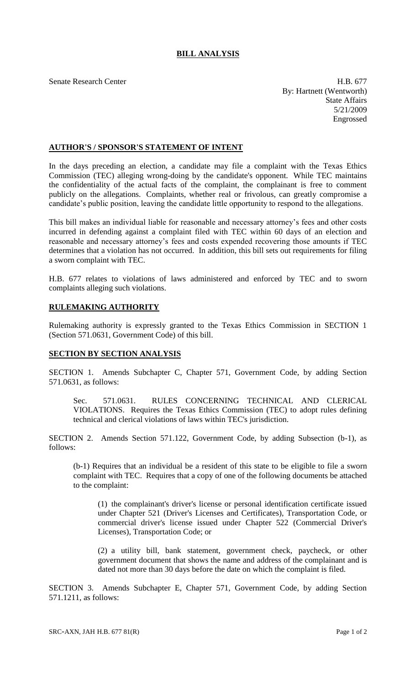## **BILL ANALYSIS**

Senate Research Center **H.B. 677** By: Hartnett (Wentworth) State Affairs 5/21/2009 Engrossed

## **AUTHOR'S / SPONSOR'S STATEMENT OF INTENT**

In the days preceding an election, a candidate may file a complaint with the Texas Ethics Commission (TEC) alleging wrong-doing by the candidate's opponent. While TEC maintains the confidentiality of the actual facts of the complaint, the complainant is free to comment publicly on the allegations. Complaints, whether real or frivolous, can greatly compromise a candidate's public position, leaving the candidate little opportunity to respond to the allegations.

This bill makes an individual liable for reasonable and necessary attorney's fees and other costs incurred in defending against a complaint filed with TEC within 60 days of an election and reasonable and necessary attorney's fees and costs expended recovering those amounts if TEC determines that a violation has not occurred. In addition, this bill sets out requirements for filing a sworn complaint with TEC.

H.B. 677 relates to violations of laws administered and enforced by TEC and to sworn complaints alleging such violations.

## **RULEMAKING AUTHORITY**

Rulemaking authority is expressly granted to the Texas Ethics Commission in SECTION 1 (Section 571.0631, Government Code) of this bill.

## **SECTION BY SECTION ANALYSIS**

SECTION 1. Amends Subchapter C, Chapter 571, Government Code, by adding Section 571.0631, as follows:

Sec. 571.0631. RULES CONCERNING TECHNICAL AND CLERICAL VIOLATIONS. Requires the Texas Ethics Commission (TEC) to adopt rules defining technical and clerical violations of laws within TEC's jurisdiction.

SECTION 2. Amends Section 571.122, Government Code, by adding Subsection (b-1), as follows:

(b-1) Requires that an individual be a resident of this state to be eligible to file a sworn complaint with TEC. Requires that a copy of one of the following documents be attached to the complaint:

(1) the complainant's driver's license or personal identification certificate issued under Chapter 521 (Driver's Licenses and Certificates), Transportation Code, or commercial driver's license issued under Chapter 522 (Commercial Driver's Licenses), Transportation Code; or

(2) a utility bill, bank statement, government check, paycheck, or other government document that shows the name and address of the complainant and is dated not more than 30 days before the date on which the complaint is filed.

SECTION 3. Amends Subchapter E, Chapter 571, Government Code, by adding Section 571.1211, as follows: